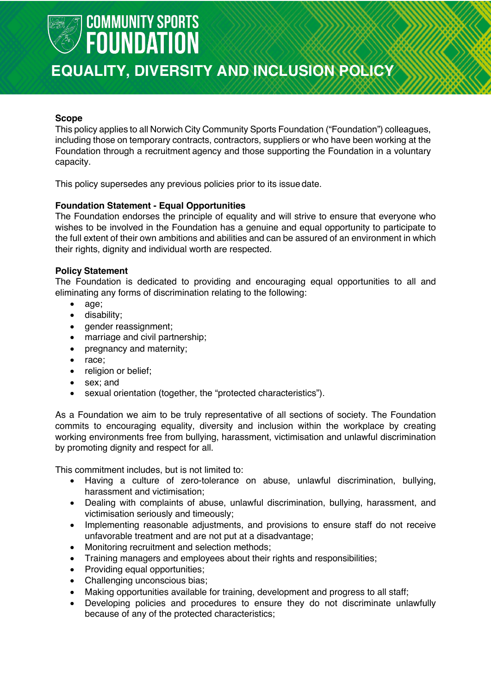

### **EQUALITY, DIVERSITY AND INCLUSION POLICY**

#### **Scope**

This policy applies to all Norwich City Community Sports Foundation ("Foundation") colleagues, including those on temporary contracts, contractors, suppliers or who have been working at the Foundation through a recruitment agency and those supporting the Foundation in a voluntary capacity.

This policy supersedes any previous policies prior to its issuedate.

#### **Foundation Statement - Equal Opportunities**

The Foundation endorses the principle of equality and will strive to ensure that everyone who wishes to be involved in the Foundation has a genuine and equal opportunity to participate to the full extent of their own ambitions and abilities and can be assured of an environment in which their rights, dignity and individual worth are respected.

#### **Policy Statement**

The Foundation is dedicated to providing and encouraging equal opportunities to all and eliminating any forms of discrimination relating to the following:

- age;
- disability;
- gender reassignment;
- marriage and civil partnership;
- pregnancy and maternity;
- race;
- religion or belief;
- sex; and
- sexual orientation (together, the "protected characteristics").

As a Foundation we aim to be truly representative of all sections of society. The Foundation commits to encouraging equality, diversity and inclusion within the workplace by creating working environments free from bullying, harassment, victimisation and unlawful discrimination by promoting dignity and respect for all.

This commitment includes, but is not limited to:

- Having a culture of zero-tolerance on abuse, unlawful discrimination, bullying, harassment and victimisation;
- Dealing with complaints of abuse, unlawful discrimination, bullying, harassment, and victimisation seriously and timeously;
- Implementing reasonable adjustments, and provisions to ensure staff do not receive unfavorable treatment and are not put at a disadvantage;
- Monitoring recruitment and selection methods;
- Training managers and employees about their rights and responsibilities;
- Providing equal opportunities;
- Challenging unconscious bias;
- Making opportunities available for training, development and progress to all staff;
- Developing policies and procedures to ensure they do not discriminate unlawfully because of any of the protected characteristics;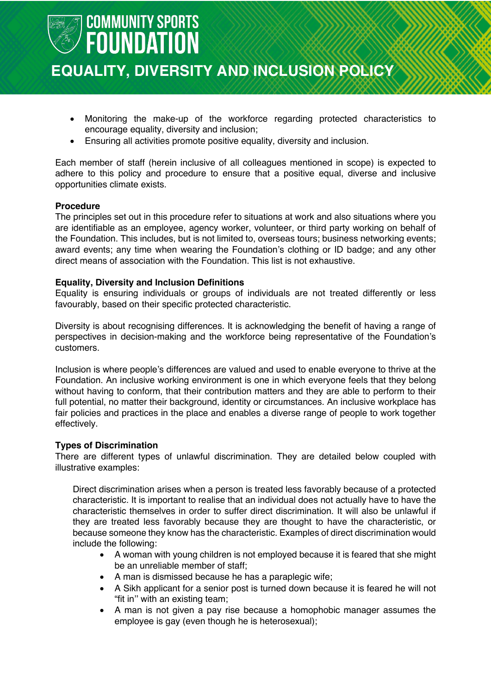

### **EQUALITY, DIVERSITY AND INCLUSION POLICY**

- Monitoring the make-up of the workforce regarding protected characteristics to encourage equality, diversity and inclusion;
- Ensuring all activities promote positive equality, diversity and inclusion.

Each member of staff (herein inclusive of all colleagues mentioned in scope) is expected to adhere to this policy and procedure to ensure that a positive equal, diverse and inclusive opportunities climate exists.

#### **Procedure**

The principles set out in this procedure refer to situations at work and also situations where you are identifiable as an employee, agency worker, volunteer, or third party working on behalf of the Foundation. This includes, but is not limited to, overseas tours; business networking events; award events; any time when wearing the Foundation's clothing or ID badge; and any other direct means of association with the Foundation. This list is not exhaustive.

#### **Equality, Diversity and Inclusion Definitions**

Equality is ensuring individuals or groups of individuals are not treated differently or less favourably, based on their specific protected characteristic.

Diversity is about recognising differences. It is acknowledging the benefit of having a range of perspectives in decision-making and the workforce being representative of the Foundation's customers.

Inclusion is where people's differences are valued and used to enable everyone to thrive at the Foundation. An inclusive working environment is one in which everyone feels that they belong without having to conform, that their contribution matters and they are able to perform to their full potential, no matter their background, identity or circumstances. An inclusive workplace has fair policies and practices in the place and enables a diverse range of people to work together effectively.

#### **Types of Discrimination**

There are different types of unlawful discrimination. They are detailed below coupled with illustrative examples:

Direct discrimination arises when a person is treated less favorably because of a protected characteristic. It is important to realise that an individual does not actually have to have the characteristic themselves in order to suffer direct discrimination. It will also be unlawful if they are treated less favorably because they are thought to have the characteristic, or because someone they know has the characteristic. Examples of direct discrimination would include the following:

- A woman with young children is not employed because it is feared that she might be an unreliable member of staff;
- A man is dismissed because he has a paraplegic wife;
- A Sikh applicant for a senior post is turned down because it is feared he will not "fit in'' with an existing team;
- A man is not given a pay rise because a homophobic manager assumes the employee is gay (even though he is heterosexual);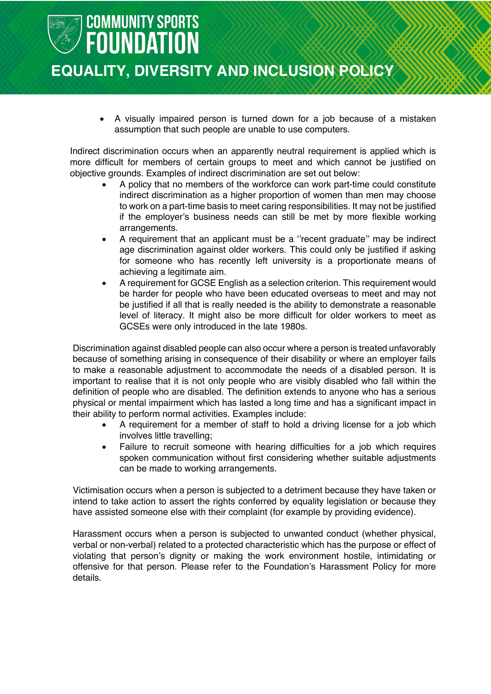## **COMMUNITY SPORTS FOUNDATION EQUALITY, DIVERSITY AND INCLUSION POLICY**

• A visually impaired person is turned down for a job because of a mistaken assumption that such people are unable to use computers.

Indirect discrimination occurs when an apparently neutral requirement is applied which is more difficult for members of certain groups to meet and which cannot be justified on objective grounds. Examples of indirect discrimination are set out below:

- A policy that no members of the workforce can work part-time could constitute indirect discrimination as a higher proportion of women than men may choose to work on a part-time basis to meet caring responsibilities. It may not be justified if the employer's business needs can still be met by more flexible working arrangements.
- A requirement that an applicant must be a ''recent graduate'' may be indirect age discrimination against older workers. This could only be justified if asking for someone who has recently left university is a proportionate means of achieving a legitimate aim.
- A requirement for GCSE English as a selection criterion. This requirement would be harder for people who have been educated overseas to meet and may not be justified if all that is really needed is the ability to demonstrate a reasonable level of literacy. It might also be more difficult for older workers to meet as GCSEs were only introduced in the late 1980s.

Discrimination against disabled people can also occur where a person is treated unfavorably because of something arising in consequence of their disability or where an employer fails to make a reasonable adjustment to accommodate the needs of a disabled person. It is important to realise that it is not only people who are visibly disabled who fall within the definition of people who are disabled. The definition extends to anyone who has a serious physical or mental impairment which has lasted a long time and has a significant impact in their ability to perform normal activities. Examples include:

- A requirement for a member of staff to hold a driving license for a job which involves little travelling;
- Failure to recruit someone with hearing difficulties for a job which requires spoken communication without first considering whether suitable adjustments can be made to working arrangements.

Victimisation occurs when a person is subjected to a detriment because they have taken or intend to take action to assert the rights conferred by equality legislation or because they have assisted someone else with their complaint (for example by providing evidence).

Harassment occurs when a person is subjected to unwanted conduct (whether physical, verbal or non-verbal) related to a protected characteristic which has the purpose or effect of violating that person's dignity or making the work environment hostile, intimidating or offensive for that person. Please refer to the Foundation's Harassment Policy for more details.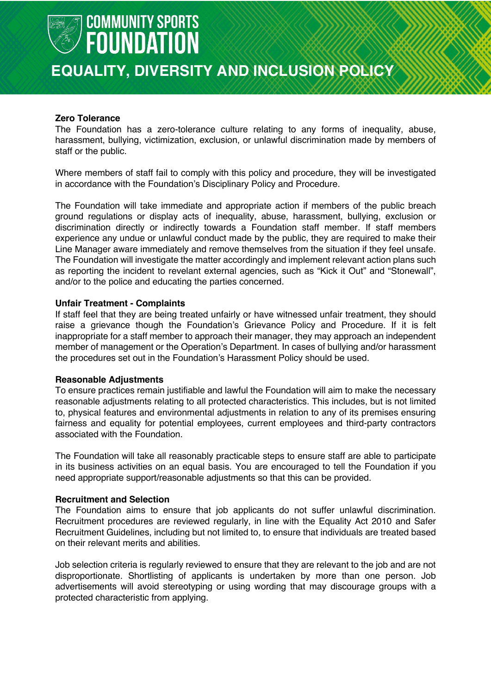

### **EQUALITY, DIVERSITY AND INCLUSION POLICY**

#### **Zero Tolerance**

The Foundation has a zero-tolerance culture relating to any forms of inequality, abuse, harassment, bullying, victimization, exclusion, or unlawful discrimination made by members of staff or the public.

Where members of staff fail to comply with this policy and procedure, they will be investigated in accordance with the Foundation's Disciplinary Policy and Procedure.

The Foundation will take immediate and appropriate action if members of the public breach ground regulations or display acts of inequality, abuse, harassment, bullying, exclusion or discrimination directly or indirectly towards a Foundation staff member. If staff members experience any undue or unlawful conduct made by the public, they are required to make their Line Manager aware immediately and remove themselves from the situation if they feel unsafe. The Foundation will investigate the matter accordingly and implement relevant action plans such as reporting the incident to revelant external agencies, such as "Kick it Out" and "Stonewall", and/or to the police and educating the parties concerned.

#### **Unfair Treatment - Complaints**

If staff feel that they are being treated unfairly or have witnessed unfair treatment, they should raise a grievance though the Foundation's Grievance Policy and Procedure. If it is felt inappropriate for a staff member to approach their manager, they may approach an independent member of management or the Operation's Department. In cases of bullying and/or harassment the procedures set out in the Foundation's Harassment Policy should be used.

#### **Reasonable Adjustments**

To ensure practices remain justifiable and lawful the Foundation will aim to make the necessary reasonable adjustments relating to all protected characteristics. This includes, but is not limited to, physical features and environmental adjustments in relation to any of its premises ensuring fairness and equality for potential employees, current employees and third-party contractors associated with the Foundation.

The Foundation will take all reasonably practicable steps to ensure staff are able to participate in its business activities on an equal basis. You are encouraged to tell the Foundation if you need appropriate support/reasonable adjustments so that this can be provided.

#### **Recruitment and Selection**

The Foundation aims to ensure that job applicants do not suffer unlawful discrimination. Recruitment procedures are reviewed regularly, in line with the Equality Act 2010 and Safer Recruitment Guidelines, including but not limited to, to ensure that individuals are treated based on their relevant merits and abilities.

Job selection criteria is regularly reviewed to ensure that they are relevant to the job and are not disproportionate. Shortlisting of applicants is undertaken by more than one person. Job advertisements will avoid stereotyping or using wording that may discourage groups with a protected characteristic from applying.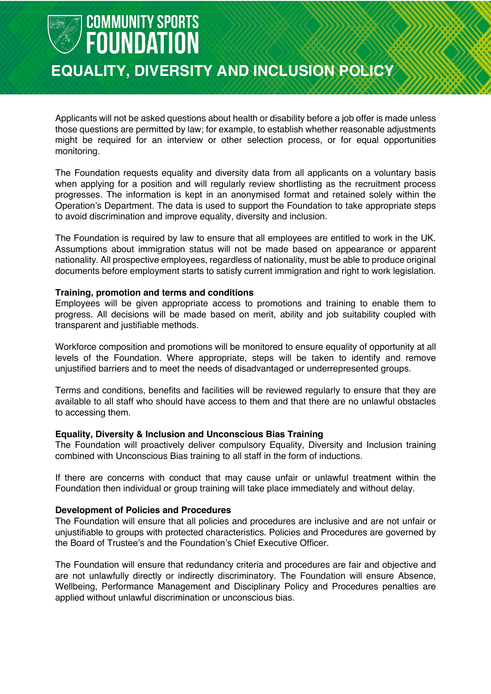### **EQUALITY, DIVERSITY AND INCLUSION POLICY**

Applicants will not be asked questions about health or disability before a job offer is made unless those questions are permitted by law; for example, to establish whether reasonable adjustments might be required for an interview or other selection process, or for equal opportunities monitoring.

The Foundation requests equality and diversity data from all applicants on a voluntary basis when applying for a position and will regularly review shortlisting as the recruitment process progresses. The information is kept in an anonymised format and retained solely within the Operation's Department. The data is used to support the Foundation to take appropriate steps to avoid discrimination and improve equality, diversity and inclusion.

The Foundation is required by law to ensure that all employees are entitled to work in the UK. Assumptions about immigration status will not be made based on appearance or apparent nationality. All prospective employees, regardless of nationality, must be able to produce original documents before employment starts to satisfy current immigration and right to work legislation.

#### **Training, promotion and terms and conditions**

Employees will be given appropriate access to promotions and training to enable them to progress. All decisions will be made based on merit, ability and job suitability coupled with transparent and justifiable methods.

Workforce composition and promotions will be monitored to ensure equality of opportunity at all levels of the Foundation. Where appropriate, steps will be taken to identify and remove unjustified barriers and to meet the needs of disadvantaged or underrepresented groups.

Terms and conditions, benefits and facilities will be reviewed regularly to ensure that they are available to all staff who should have access to them and that there are no unlawful obstacles to accessing them.

#### **Equality, Diversity & Inclusion and Unconscious Bias Training**

The Foundation will proactively deliver compulsory Equality, Diversity and Inclusion training combined with Unconscious Bias training to all staff in the form of inductions.

If there are concerns with conduct that may cause unfair or unlawful treatment within the Foundation then individual or group training will take place immediately and without delay.

#### **Development of Policies and Procedures**

The Foundation will ensure that all policies and procedures are inclusive and are not unfair or unjustifiable to groups with protected characteristics. Policies and Procedures are governed by the Board of Trustee's and the Foundation's Chief Executive Officer.

The Foundation will ensure that redundancy criteria and procedures are fair and objective and are not unlawfully directly or indirectly discriminatory. The Foundation will ensure Absence, Wellbeing, Performance Management and Disciplinary Policy and Procedures penalties are applied without unlawful discrimination or unconscious bias.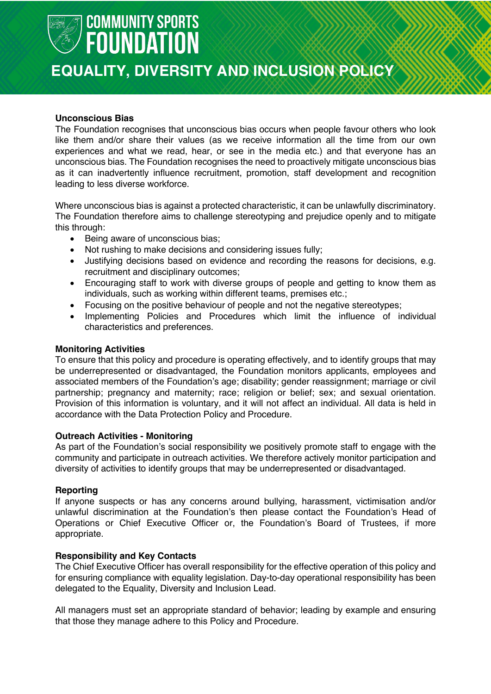

### **EQUALITY, DIVERSITY AND INCLUSION POLICY**

#### **Unconscious Bias**

The Foundation recognises that unconscious bias occurs when people favour others who look like them and/or share their values (as we receive information all the time from our own experiences and what we read, hear, or see in the media etc.) and that everyone has an unconscious bias. The Foundation recognises the need to proactively mitigate unconscious bias as it can inadvertently influence recruitment, promotion, staff development and recognition leading to less diverse workforce.

Where unconscious bias is against a protected characteristic, it can be unlawfully discriminatory. The Foundation therefore aims to challenge stereotyping and prejudice openly and to mitigate this through:

- Being aware of unconscious bias;
- Not rushing to make decisions and considering issues fully;
- Justifying decisions based on evidence and recording the reasons for decisions, e.g. recruitment and disciplinary outcomes;
- Encouraging staff to work with diverse groups of people and getting to know them as individuals, such as working within different teams, premises etc.;
- Focusing on the positive behaviour of people and not the negative stereotypes;
- Implementing Policies and Procedures which limit the influence of individual characteristics and preferences.

#### **Monitoring Activities**

To ensure that this policy and procedure is operating effectively, and to identify groups that may be underrepresented or disadvantaged, the Foundation monitors applicants, employees and associated members of the Foundation's age; disability; gender reassignment; marriage or civil partnership; pregnancy and maternity; race; religion or belief; sex; and sexual orientation. Provision of this information is voluntary, and it will not affect an individual. All data is held in accordance with the Data Protection Policy and Procedure.

#### **Outreach Activities - Monitoring**

As part of the Foundation's social responsibility we positively promote staff to engage with the community and participate in outreach activities. We therefore actively monitor participation and diversity of activities to identify groups that may be underrepresented or disadvantaged.

#### **Reporting**

If anyone suspects or has any concerns around bullying, harassment, victimisation and/or unlawful discrimination at the Foundation's then please contact the Foundation's Head of Operations or Chief Executive Officer or, the Foundation's Board of Trustees, if more appropriate.

#### **Responsibility and Key Contacts**

The Chief Executive Officer has overall responsibility for the effective operation of this policy and for ensuring compliance with equality legislation. Day-to-day operational responsibility has been delegated to the Equality, Diversity and Inclusion Lead.

All managers must set an appropriate standard of behavior; leading by example and ensuring that those they manage adhere to this Policy and Procedure.